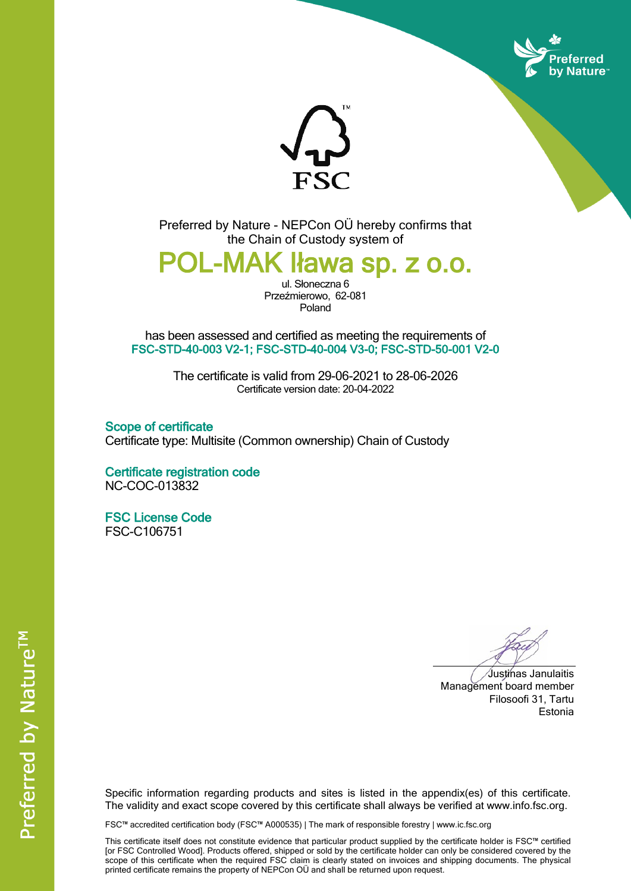



Preferred by Nature - NEPCon OÜ hereby confirms that the Chain of Custody system of

**POL-MAK Iława sp. z o.o.**

ul. Słoneczna 6 Przeźmierowo, 62-081 Poland

has been assessed and certified as meeting the requirements of **FSC-STD-40-003 V2-1; FSC-STD-40-004 V3-0; FSC-STD-50-001 V2-0**

> The certificate is valid from 29-06-2021 to 28-06-2026 Certificate version date: 20-04-2022

**Scope of certificate** Certificate type: Multisite (Common ownership) Chain of Custody

**Certificate registration code** NC-COC-013832

**FSC License Code** FSC-C106751

Justinas Janulaitis Management board member Filosoofi 31, Tartu Estonia

Specific information regarding products and sites is listed in the appendix(es) of this certificate. The validity and exact scope covered by this certificate shall always be verified at www.info.fsc.org.

FSC™ accredited certification body (FSC™ A000535) | The mark of responsible forestry | www.ic.fsc.org

This certificate itself does not constitute evidence that particular product supplied by the certificate holder is FSC™ certified [or FSC Controlled Wood]. Products offered, shipped or sold by the certificate holder can only be considered covered by the scope of this certificate when the required FSC claim is clearly stated on invoices and shipping documents. The physical printed certificate remains the property of NEPCon OÜ and shall be returned upon request.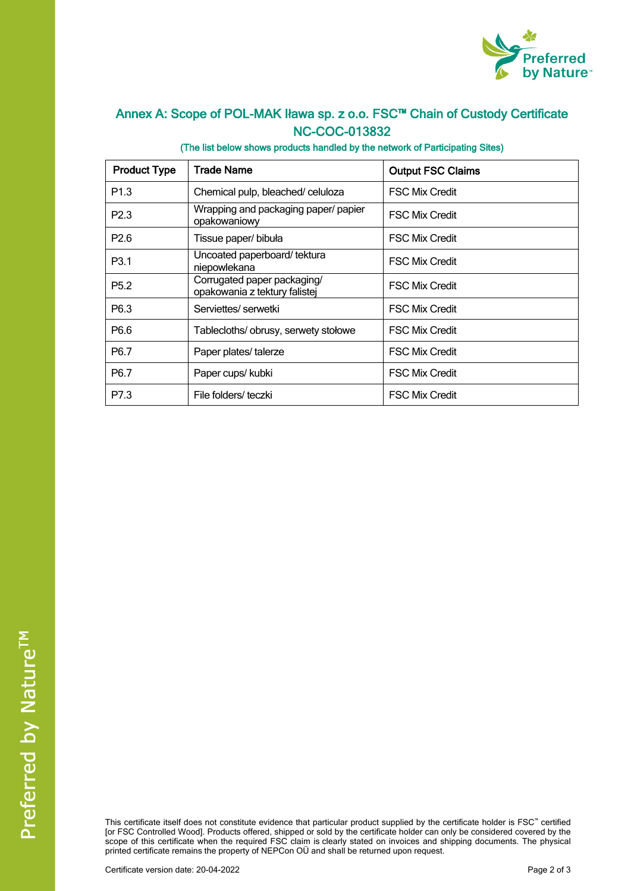

## **Annex A: Scope of POL-MAK Iława sp. z o.o. FSC™ Chain of Custody Certificate NC-COC-013832**

## **(The list below shows products handled by the network of Participating Sites)**

| <b>Product Type</b> | <b>Trade Name</b>                                            | <b>Output FSC Claims</b> |
|---------------------|--------------------------------------------------------------|--------------------------|
| P <sub>1.3</sub>    | Chemical pulp, bleached/celuloza                             | <b>FSC Mix Credit</b>    |
| P <sub>2.3</sub>    | Wrapping and packaging paper/ papier<br>opakowaniowy         | <b>FSC Mix Credit</b>    |
| P <sub>2.6</sub>    | Tissue paper/ bibuła                                         | <b>FSC Mix Credit</b>    |
| P <sub>3.1</sub>    | Uncoated paperboard/tektura<br>niepowlekana                  | <b>FSC Mix Credit</b>    |
| P <sub>5.2</sub>    | Corrugated paper packaging/<br>opakowania z tektury falistej | <b>FSC Mix Credit</b>    |
| P <sub>6.3</sub>    | Serviettes/serwetki                                          | <b>FSC Mix Credit</b>    |
| P <sub>6.6</sub>    | Tablecloths/ obrusy, serwety stołowe                         | <b>FSC Mix Credit</b>    |
| P <sub>6.7</sub>    | Paper plates/ talerze                                        | <b>FSC Mix Credit</b>    |
| P <sub>6.7</sub>    | Paper cups/ kubki                                            | <b>FSC Mix Credit</b>    |
| P7.3                | File folders/teczki                                          | <b>FSC Mix Credit</b>    |

This certificate itself does not constitute evidence that particular product supplied by the certificate holder is FSC™ certified [or FSC Controlled Wood]. Products offered, shipped or sold by the certificate holder can only be considered covered by the scope of this certificate when the required FSC claim is clearly stated on invoices and shipping documents. The physical printed certificate remains the property of NEPCon OÜ and shall be returned upon request.